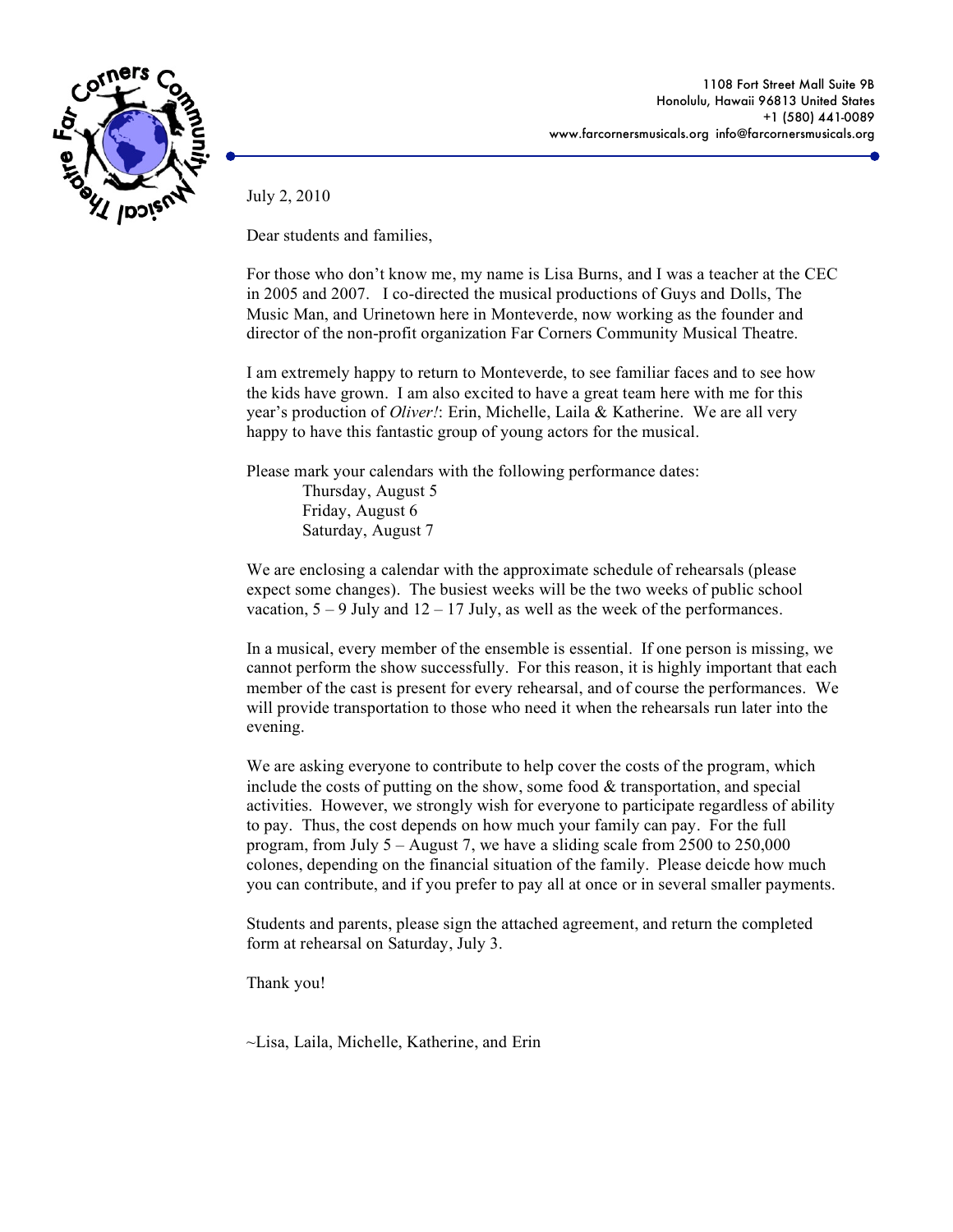

1108 Fort Street Mall Suite 9B Honolulu, Hawaii 96813 United States +1 (580) 441-0089 www.farcornersmusicals.org info@farcornersmusicals.org

July 2, 2010

Dear students and families,

For those who don't know me, my name is Lisa Burns, and I was a teacher at the CEC in 2005 and 2007. I co-directed the musical productions of Guys and Dolls, The Music Man, and Urinetown here in Monteverde, now working as the founder and director of the non-profit organization Far Corners Community Musical Theatre.

I am extremely happy to return to Monteverde, to see familiar faces and to see how the kids have grown. I am also excited to have a great team here with me for this year's production of *Oliver!*: Erin, Michelle, Laila & Katherine. We are all very happy to have this fantastic group of young actors for the musical.

Please mark your calendars with the following performance dates:

Thursday, August 5 Friday, August 6 Saturday, August 7

We are enclosing a calendar with the approximate schedule of rehearsals (please expect some changes). The busiest weeks will be the two weeks of public school vacation,  $5 - 9$  July and  $12 - 17$  July, as well as the week of the performances.

In a musical, every member of the ensemble is essential. If one person is missing, we cannot perform the show successfully. For this reason, it is highly important that each member of the cast is present for every rehearsal, and of course the performances. We will provide transportation to those who need it when the rehearsals run later into the evening.

We are asking everyone to contribute to help cover the costs of the program, which include the costs of putting on the show, some food  $&$  transportation, and special activities. However, we strongly wish for everyone to participate regardless of ability to pay. Thus, the cost depends on how much your family can pay. For the full program, from July  $5 -$  August 7, we have a sliding scale from 2500 to 250,000 colones, depending on the financial situation of the family. Please deicde how much you can contribute, and if you prefer to pay all at once or in several smaller payments.

Students and parents, please sign the attached agreement, and return the completed form at rehearsal on Saturday, July 3.

Thank you!

~Lisa, Laila, Michelle, Katherine, and Erin